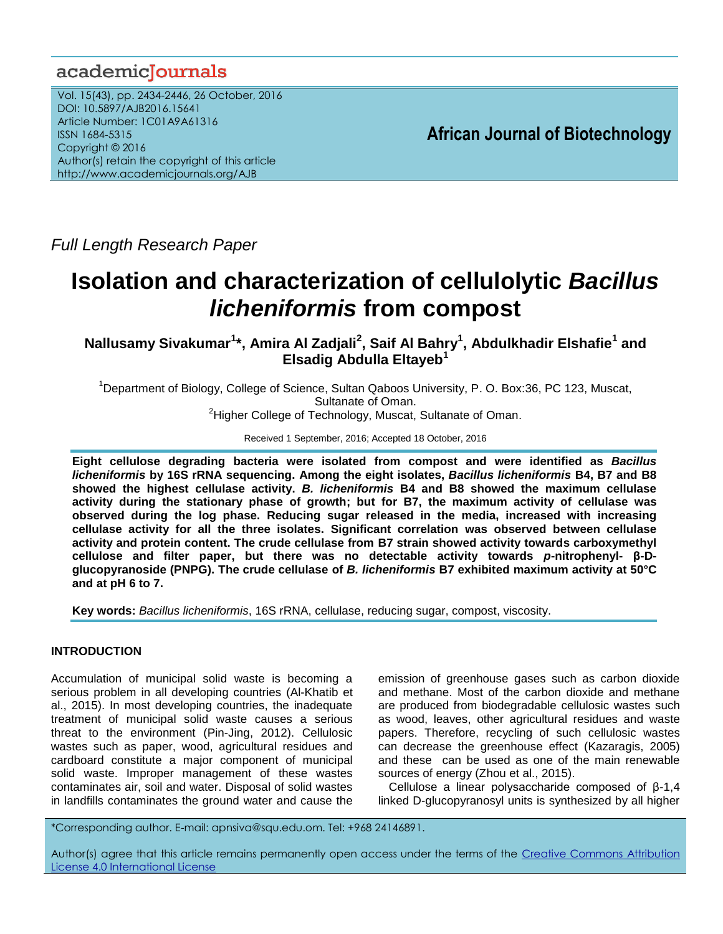# academiclournals

Vol. 15(43), pp. 2434-2446, 26 October, 2016 DOI: 10.5897/AJB2016.15641 Article Number: 1C01A9A61316 ISSN 1684-5315 Copyright © 2016 Author(s) retain the copyright of this article http://www.academicjournals.org/AJB

**African Journal of Biotechnology**

*Full Length Research Paper*

# **Isolation and characterization of cellulolytic** *Bacillus licheniformis* **from compost**

**Nallusamy Sivakumar<sup>1</sup> \*, Amira Al Zadjali<sup>2</sup> , Saif Al Bahry<sup>1</sup> , Abdulkhadir Elshafie<sup>1</sup> and Elsadig Abdulla Eltayeb<sup>1</sup>**

<sup>1</sup>Department of Biology, College of Science, Sultan Qaboos University, P. O. Box:36, PC 123, Muscat, Sultanate of Oman. <sup>2</sup>Higher College of Technology, Muscat, Sultanate of Oman.

Received 1 September, 2016; Accepted 18 October, 2016

**Eight cellulose degrading bacteria were isolated from compost and were identified as** *Bacillus licheniformis* **by 16S rRNA sequencing. Among the eight isolates,** *Bacillus licheniformis* **B4, B7 and B8 showed the highest cellulase activity.** *B. licheniformis* **B4 and B8 showed the maximum cellulase activity during the stationary phase of growth; but for B7, the maximum activity of cellulase was observed during the log phase. Reducing sugar released in the media, increased with increasing cellulase activity for all the three isolates. Significant correlation was observed between cellulase activity and protein content. The crude cellulase from B7 strain showed activity towards carboxymethyl cellulose and filter paper, but there was no detectable activity towards** *p***-nitrophenyl- β-Dglucopyranoside (PNPG). The crude cellulase of** *B. licheniformis* **B7 exhibited maximum activity at 50°C and at pH 6 to 7.** 

**Key words:** *Bacillus licheniformis*, 16S rRNA, cellulase, reducing sugar, compost, viscosity.

# **INTRODUCTION**

Accumulation of municipal solid waste is becoming a serious problem in all developing countries (Al-Khatib et al., 2015). In most developing countries, the inadequate treatment of municipal solid waste causes a serious threat to the environment (Pin-Jing, 2012). Cellulosic wastes such as paper, wood, agricultural residues and cardboard constitute a major component of municipal solid waste. Improper management of these wastes contaminates air, soil and water. Disposal of solid wastes in landfills contaminates the ground water and cause the

emission of greenhouse gases such as carbon dioxide and methane. Most of the carbon dioxide and methane are produced from biodegradable cellulosic wastes such as wood, leaves, other agricultural residues and waste papers. Therefore, recycling of such cellulosic wastes can decrease the greenhouse effect (Kazaragis, 2005) and these can be used as one of the main renewable sources of energy (Zhou et al., 2015).

Cellulose a linear polysaccharide composed of β-1,4 linked D-glucopyranosyl units is synthesized by all higher

\*Corresponding author. E-mail: apnsiva@squ.edu.om. Tel: +968 24146891.

Author(s) agree that this article remains permanently open access under the terms of the Creative Commons Attribution [License 4.0 International License](http://creativecommons.org/licenses/by/4.0/deed.en_US)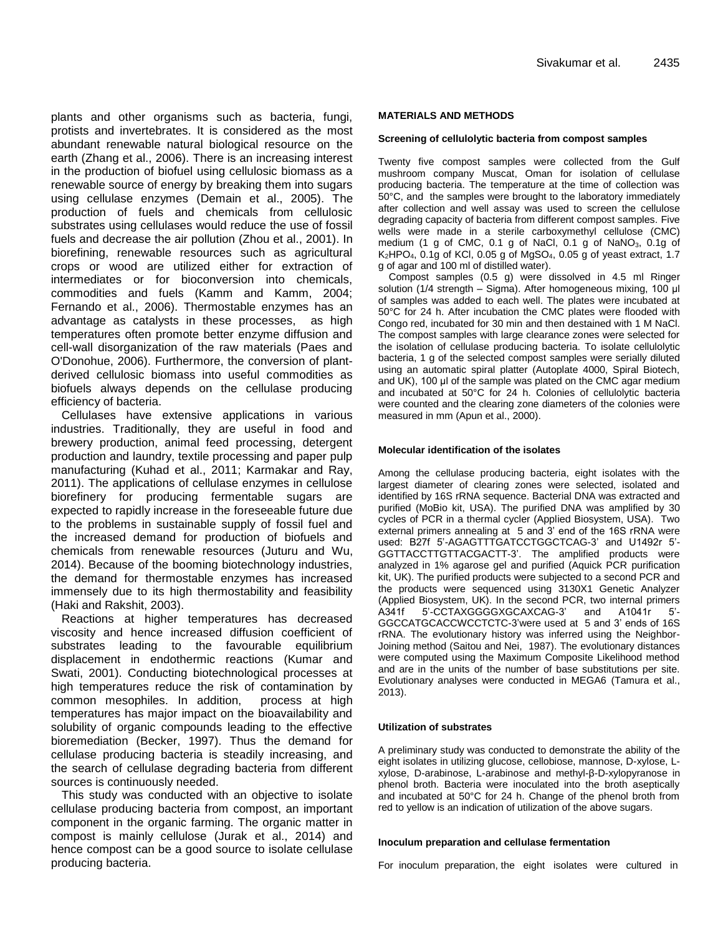plants and other organisms such as bacteria, fungi, protists and invertebrates. It is considered as the most abundant renewable natural biological resource on the earth (Zhang et al., 2006). There is an increasing interest in the production of biofuel using cellulosic biomass as a renewable source of energy by breaking them into sugars using cellulase enzymes (Demain et al., 2005). The production of fuels and chemicals from cellulosic substrates using cellulases would reduce the use of fossil fuels and decrease the air pollution (Zhou et al., 2001). In biorefining, renewable resources such as agricultural crops or wood are utilized either for extraction of intermediates or for bioconversion into chemicals, commodities and fuels (Kamm and Kamm, 2004; Fernando et al., 2006). Thermostable enzymes has an advantage as catalysts in these processes, as high temperatures often promote better enzyme diffusion and cell-wall disorganization of the raw materials (Paes and O'Donohue, 2006). Furthermore, the conversion of plantderived cellulosic biomass into useful commodities as biofuels always depends on the cellulase producing efficiency of bacteria.

Cellulases have extensive applications in various industries. Traditionally, they are useful in food and brewery production, animal feed processing, detergent production and laundry, textile processing and paper pulp manufacturing (Kuhad et al., 2011; Karmakar and Ray, 2011). The applications of cellulase enzymes in cellulose biorefinery for producing fermentable sugars are expected to rapidly increase in the foreseeable future due to the problems in sustainable supply of fossil fuel and the increased demand for production of biofuels and chemicals from renewable resources (Juturu and Wu, 2014). Because of the booming biotechnology industries, the demand for thermostable enzymes has increased immensely due to its high thermostability and feasibility (Haki and Rakshit, 2003).

Reactions at higher temperatures has decreased viscosity and hence increased diffusion coefficient of substrates leading to the favourable equilibrium displacement in endothermic reactions (Kumar and Swati, 2001). Conducting biotechnological processes at high temperatures reduce the risk of contamination by common mesophiles. In addition, process at high temperatures has major impact on the bioavailability and solubility of organic compounds leading to the effective bioremediation (Becker, 1997). Thus the demand for cellulase producing bacteria is steadily increasing, and the search of cellulase degrading bacteria from different sources is continuously needed.

This study was conducted with an objective to isolate cellulase producing bacteria from compost, an important component in the organic farming. The organic matter in compost is mainly cellulose (Jurak et al., 2014) and hence compost can be a good source to isolate cellulase producing bacteria.

## **MATERIALS AND METHODS**

#### **Screening of cellulolytic bacteria from compost samples**

Twenty five compost samples were collected from the Gulf mushroom company Muscat, Oman for isolation of cellulase producing bacteria. The temperature at the time of collection was 50°C, and the samples were brought to the laboratory immediately after collection and well assay was used to screen the cellulose degrading capacity of bacteria from different compost samples. Five wells were made in a sterile carboxymethyl cellulose (CMC) medium (1 g of CMC,  $0.1$  g of NaCl,  $0.1$  g of NaNO<sub>3</sub>,  $0.1$ g of  $K<sub>2</sub>HPO<sub>4</sub>$ , 0.1g of KCl, 0.05 g of MgSO<sub>4</sub>, 0.05 g of yeast extract, 1.7 g of agar and 100 ml of distilled water).

Compost samples (0.5 g) were dissolved in 4.5 ml Ringer solution (1/4 strength – Sigma). After homogeneous mixing, 100 μl of samples was added to each well. The plates were incubated at 50°C for 24 h. After incubation the CMC plates were flooded with Congo red, incubated for 30 min and then destained with 1 M NaCl. The compost samples with large clearance zones were selected for the isolation of cellulase producing bacteria. To isolate cellulolytic bacteria, 1 g of the selected compost samples were serially diluted using an automatic spiral platter (Autoplate 4000, Spiral Biotech, and UK), 100 μl of the sample was plated on the CMC agar medium and incubated at 50°C for 24 h. Colonies of cellulolytic bacteria were counted and the clearing zone diameters of the colonies were measured in mm (Apun et al., 2000).

#### **Molecular identification of the isolates**

Among the cellulase producing bacteria, eight isolates with the largest diameter of clearing zones were selected, isolated and identified by 16S rRNA sequence. Bacterial DNA was extracted and purified (MoBio kit, USA). The purified DNA was amplified by 30 cycles of PCR in a thermal cycler (Applied Biosystem, USA). Two external primers annealing at 5 and 3' end of the 16S rRNA were used: B27f 5'-AGAGTTTGATCCTGGCTCAG-3' and U1492r 5'- GGTTACCTTGTTACGACTT-3'. The amplified products were analyzed in 1% agarose gel and purified (Aquick PCR purification kit, UK). The purified products were subjected to a second PCR and the products were sequenced using 3130X1 Genetic Analyzer (Applied Biosystem, UK). In the second PCR, two internal primers A341f 5'-CCTAXGGGGXGCAXCAG-3' and A1041r 5'- GGCCATGCACCWCCTCTC-3'were used at 5 and 3' ends of 16S rRNA. The evolutionary history was inferred using the Neighbor-Joining method (Saitou and Nei, 1987). The evolutionary distances were computed using the Maximum Composite Likelihood method and are in the units of the number of base substitutions per site. Evolutionary analyses were conducted in MEGA6 (Tamura et al., 2013).

#### **Utilization of substrates**

A preliminary study was conducted to demonstrate the ability of the eight isolates in utilizing glucose, cellobiose, mannose, D-xylose, Lxylose, D-arabinose, L-arabinose and methyl-β-D-xylopyranose in phenol broth. Bacteria were inoculated into the broth aseptically and incubated at 50°C for 24 h. Change of the phenol broth from red to yellow is an indication of utilization of the above sugars.

#### **Inoculum preparation and cellulase fermentation**

For inoculum preparation, the eight isolates were cultured in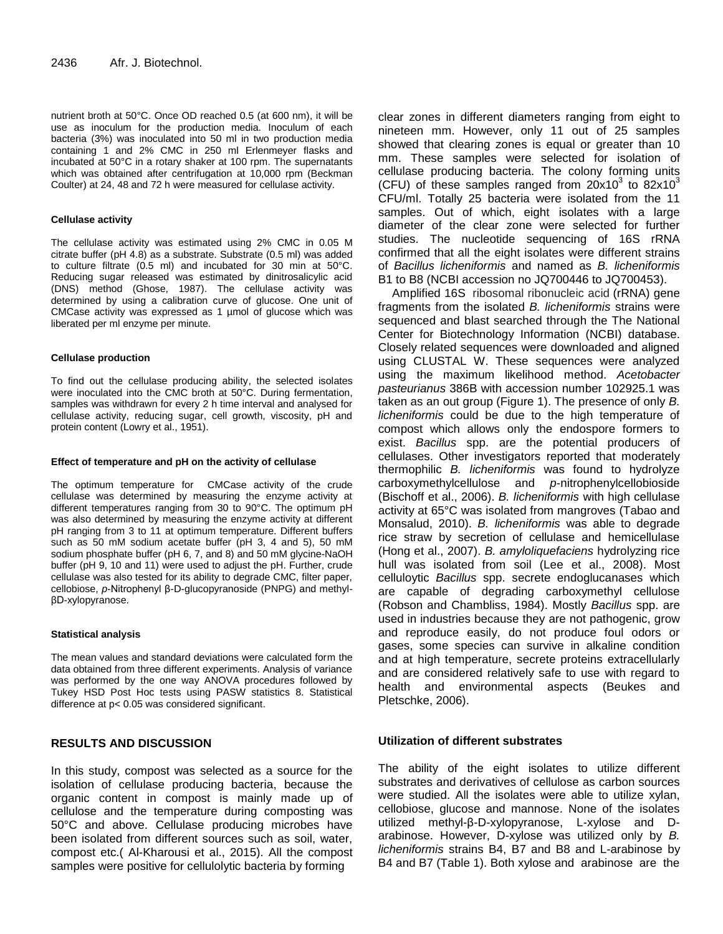nutrient broth at 50°C. Once OD reached 0.5 (at 600 nm), it will be use as inoculum for the production media. Inoculum of each bacteria (3%) was inoculated into 50 ml in two production media containing 1 and 2% CMC in 250 ml Erlenmeyer flasks and incubated at 50°C in a rotary shaker at 100 rpm. The supernatants which was obtained after centrifugation at 10,000 rpm (Beckman Coulter) at 24, 48 and 72 h were measured for cellulase activity.

## **Cellulase activity**

The cellulase activity was estimated using 2% CMC in 0.05 M citrate buffer (pH 4.8) as a substrate. Substrate (0.5 ml) was added to culture filtrate (0.5 ml) and incubated for 30 min at 50°C. Reducing sugar released was estimated by dinitrosalicylic acid (DNS) method (Ghose, 1987). The cellulase activity was determined by using a calibration curve of glucose. One unit of CMCase activity was expressed as 1 µmol of glucose which was liberated per ml enzyme per minute.

# **Cellulase production**

To find out the cellulase producing ability, the selected isolates were inoculated into the CMC broth at 50°C. During fermentation, samples was withdrawn for every 2 h time interval and analysed for cellulase activity, reducing sugar, cell growth, viscosity, pH and protein content (Lowry et al., 1951).

## **Effect of temperature and pH on the activity of cellulase**

The optimum temperature for CMCase activity of the crude cellulase was determined by measuring the enzyme activity at different temperatures ranging from 30 to 90°C. The optimum pH was also determined by measuring the enzyme activity at different pH ranging from 3 to 11 at optimum temperature. Different buffers such as 50 mM sodium acetate buffer (pH 3, 4 and 5), 50 mM sodium phosphate buffer (pH 6, 7, and 8) and 50 mM glycine-NaOH buffer (pH 9, 10 and 11) were used to adjust the pH. Further, crude cellulase was also tested for its ability to degrade CMC, filter paper, cellobiose, *p*-Nitrophenyl β-D-glucopyranoside (PNPG) and methylβD-xylopyranose.

#### **Statistical analysis**

The mean values and standard deviations were calculated form the data obtained from three different experiments. Analysis of variance was performed by the one way ANOVA procedures followed by Tukey HSD Post Hoc tests using PASW statistics 8. Statistical difference at p< 0.05 was considered significant.

# **RESULTS AND DISCUSSION**

In this study, compost was selected as a source for the isolation of cellulase producing bacteria, because the organic content in compost is mainly made up of cellulose and the temperature during composting was 50°C and above. Cellulase producing microbes have been isolated from different sources such as soil, water, compost etc.( Al-Kharousi et al., 2015). All the compost samples were positive for cellulolytic bacteria by forming

clear zones in different diameters ranging from eight to nineteen mm. However, only 11 out of 25 samples showed that clearing zones is equal or greater than 10 mm. These samples were selected for isolation of cellulase producing bacteria. The colony forming units (CFU) of these samples ranged from  $20x10^3$  to 82x10<sup>3</sup> CFU/ml. Totally 25 bacteria were isolated from the 11 samples. Out of which, eight isolates with a large diameter of the clear zone were selected for further studies. The nucleotide sequencing of 16S rRNA confirmed that all the eight isolates were different strains of *Bacillus licheniformis* and named as *B. licheniformis*  B1 to B8 (NCBI accession no JQ700446 to JQ700453).

Amplified 16S ribosomal ribonucleic acid (rRNA) gene fragments from the isolated *B. licheniformis* strains were sequenced and blast searched through the The National Center for Biotechnology Information (NCBI) database. Closely related sequences were downloaded and aligned using CLUSTAL W. These sequences were analyzed using the maximum likelihood method. *Acetobacter pasteurianus* 386B with accession number 102925.1 was taken as an out group (Figure 1). The presence of only *B. licheniformis* could be due to the high temperature of compost which allows only the endospore formers to exist. *Bacillus* spp. are the potential producers of cellulases. Other investigators reported that moderately thermophilic *B. licheniformis* was found to hydrolyze carboxymethylcellulose and *p*-nitrophenylcellobioside (Bischoff et al., 2006). *B. licheniformis* with high cellulase activity at 65°C was isolated from mangroves (Tabao and Monsalud, 2010). *B. licheniformis* was able to degrade rice straw by secretion of cellulase and hemicellulase (Hong et al., 2007). *B. amyloliquefaciens* hydrolyzing rice hull was isolated from soil (Lee et al., 2008). Most celluloytic *Bacillus* spp. secrete endoglucanases which are capable of degrading carboxymethyl cellulose (Robson and Chambliss, 1984). Mostly *Bacillus* spp. are used in industries because they are not pathogenic, grow and reproduce easily, do not produce foul odors or gases, some species can survive in alkaline condition and at high temperature, secrete proteins extracellularly and are considered relatively safe to use with regard to health and environmental aspects (Beukes and Pletschke, 2006).

# **Utilization of different substrates**

The ability of the eight isolates to utilize different substrates and derivatives of cellulose as carbon sources were studied. All the isolates were able to utilize xylan, cellobiose, glucose and mannose. None of the isolates utilized methyl-β-D-xylopyranose, L-xylose and Darabinose. However, D-xylose was utilized only by *B. licheniformis* strains B4, B7 and B8 and L-arabinose by B4 and B7 (Table 1). Both xylose and arabinose are the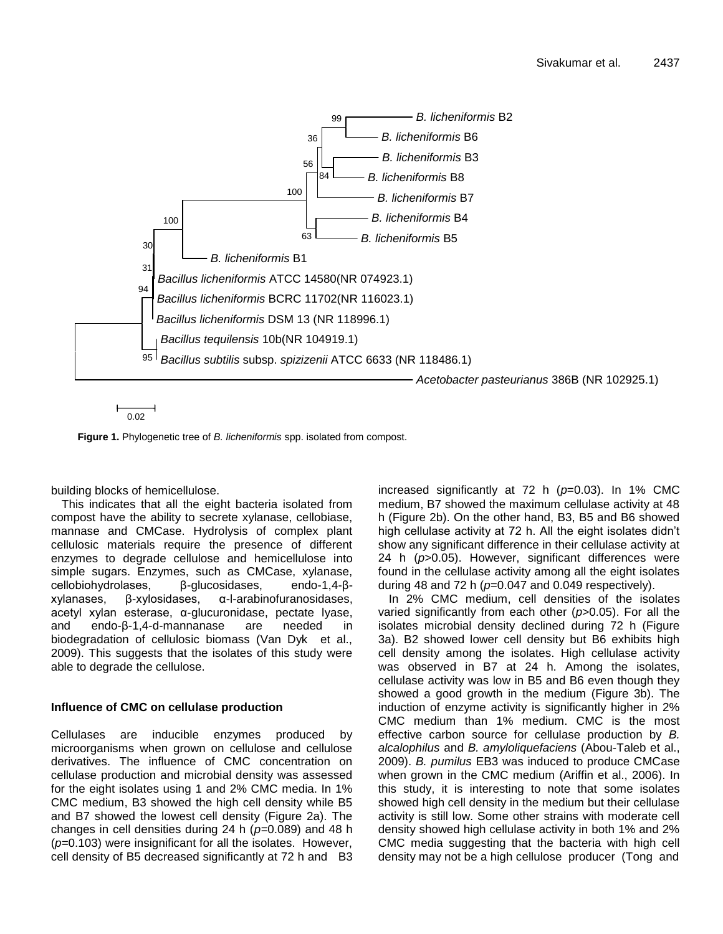

0.02

**Figure 1.** Phylogenetic tree of *B. licheniformis* spp. isolated from compost.

building blocks of hemicellulose.

This indicates that all the eight bacteria isolated from compost have the ability to secrete xylanase, cellobiase, mannase and CMCase. Hydrolysis of complex plant cellulosic materials require the presence of different enzymes to degrade cellulose and hemicellulose into simple sugars. Enzymes, such as CMCase, xylanase, cellobiohydrolases, β-glucosidases, endo-1,4-βxylanases, β-xylosidases, α-l-arabinofuranosidases, acetyl xylan esterase, α-glucuronidase, pectate lyase, and endo-β-1,4-d-mannanase are needed in biodegradation of cellulosic biomass (Van Dyk et al., 2009). This suggests that the isolates of this study were able to degrade the cellulose.

# **Influence of CMC on cellulase production**

Cellulases are inducible enzymes produced by microorganisms when grown on cellulose and cellulose derivatives. The influence of CMC concentration on cellulase production and microbial density was assessed for the eight isolates using 1 and 2% CMC media. In 1% CMC medium, B3 showed the high cell density while B5 and B7 showed the lowest cell density (Figure 2a). The changes in cell densities during 24 h (*p=*0.089) and 48 h (*p=*0.103) were insignificant for all the isolates. However, cell density of B5 decreased significantly at 72 h and B3 increased significantly at 72 h (*p*=0.03). In 1% CMC medium, B7 showed the maximum cellulase activity at 48 h (Figure 2b). On the other hand, B3, B5 and B6 showed high cellulase activity at 72 h. All the eight isolates didn't show any significant difference in their cellulase activity at 24 h (*p*>0.05). However, significant differences were found in the cellulase activity among all the eight isolates during 48 and 72 h (*p*=0.047 and 0.049 respectively).

In 2% CMC medium, cell densities of the isolates varied significantly from each other (*p*>0.05). For all the isolates microbial density declined during 72 h (Figure 3a). B2 showed lower cell density but B6 exhibits high cell density among the isolates. High cellulase activity was observed in B7 at 24 h. Among the isolates, cellulase activity was low in B5 and B6 even though they showed a good growth in the medium (Figure 3b). The induction of enzyme activity is significantly higher in 2% CMC medium than 1% medium. CMC is the most effective carbon source for cellulase production by *B. alcalophilus* and *B. amyloliquefaciens* (Abou-Taleb et al., 2009). *B. pumilus* EB3 was induced to produce CMCase when grown in the CMC medium (Ariffin et al., 2006). In this study, it is interesting to note that some isolates showed high cell density in the medium but their cellulase activity is still low. Some other strains with moderate cell density showed high cellulase activity in both 1% and 2% CMC media suggesting that the bacteria with high cell density may not be a high cellulose producer (Tong and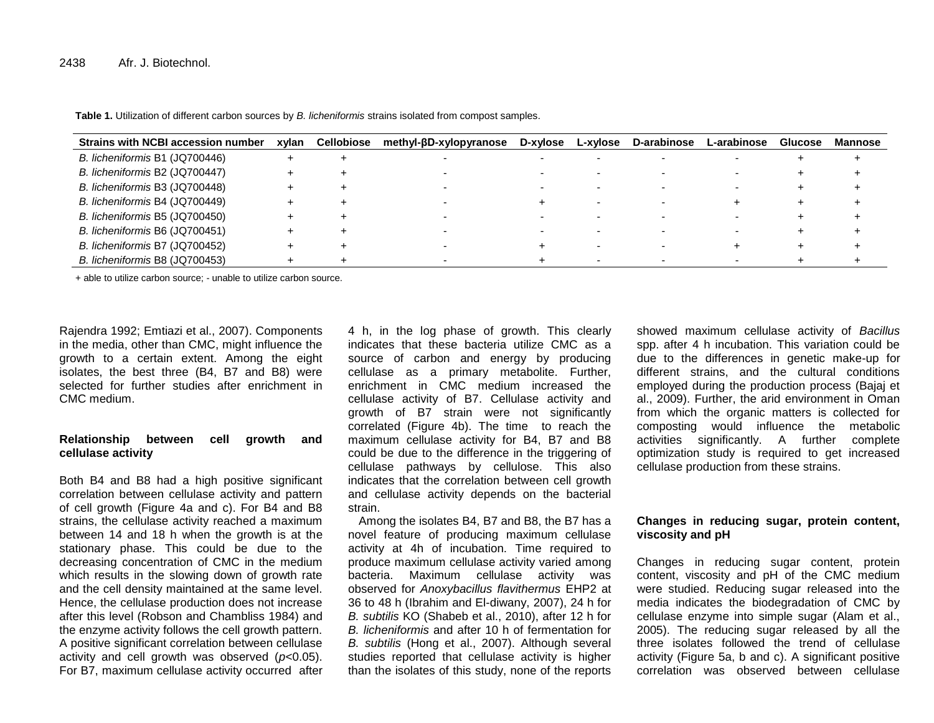| <b>Strains with NCBI accession number</b> | xvlan | <b>Cellobiose</b> | methyl-βD-xylopyranose | D-xylose | L-xylose | <b>D-arabinose</b> | L-arabinose | <b>Glucose</b> | Mannose |
|-------------------------------------------|-------|-------------------|------------------------|----------|----------|--------------------|-------------|----------------|---------|
| B. licheniformis B1 (JQ700446)            |       |                   |                        |          |          |                    |             |                |         |
| B. licheniformis B2 (JQ700447)            |       |                   |                        |          |          |                    |             |                |         |
| B. licheniformis B3 (JQ700448)            |       |                   |                        |          |          |                    |             |                |         |
| B. licheniformis B4 (JQ700449)            |       |                   |                        |          |          |                    |             |                |         |
| B. licheniformis B5 (JQ700450)            |       |                   |                        |          |          |                    |             |                |         |
| B. licheniformis B6 (JQ700451)            |       |                   |                        |          |          |                    |             |                |         |
| B. licheniformis B7 (JQ700452)            |       |                   |                        |          |          |                    |             |                |         |
| B. licheniformis B8 (JQ700453)            |       |                   |                        |          |          |                    |             |                |         |

**Table 1.** Utilization of different carbon sources by *B. licheniformis* strains isolated from compost samples.

+ able to utilize carbon source; - unable to utilize carbon source.

Rajendra 1992; Emtiazi et al., 2007). Components in the media, other than CMC, might influence the growth to a certain extent. Among the eight isolates, the best three (B4, B7 and B8) were selected for further studies after enrichment in CMC medium.

# **Relationship between cell growth and cellulase activity**

Both B4 and B8 had a high positive significant correlation between cellulase activity and pattern of cell growth (Figure 4a and c). For B4 and B8 strains, the cellulase activity reached a maximum between 14 and 18 h when the growth is at the stationary phase. This could be due to the decreasing concentration of CMC in the medium which results in the slowing down of growth rate and the cell density maintained at the same level. Hence, the cellulase production does not increase after this level (Robson and Chambliss 1984) and the enzyme activity follows the cell growth pattern. A positive significant correlation between cellulase activity and cell growth was observed (*p*<0.05). For B7, maximum cellulase activity occurred after

4 h, in the log phase of growth. This clearly indicates that these bacteria utilize CMC as a source of carbon and energy by producing cellulase as a primary metabolite. Further, enrichment in CMC medium increased the cellulase activity of B7. Cellulase activity and growth of B7 strain were not significantly correlated (Figure 4b). The time to reach the maximum cellulase activity for B4, B7 and B8 could be due to the difference in the triggering of cellulase pathways by cellulose. This also indicates that the correlation between cell growth and cellulase activity depends on the bacterial strain.

Among the isolates B4, B7 and B8, the B7 has a novel feature of producing maximum cellulase activity at 4h of incubation. Time required to produce maximum cellulase activity varied among bacteria. Maximum cellulase activity was observed for *Anoxybacillus flavithermus* EHP2 at 36 to 48 h (Ibrahim and El-diwany, 2007), 24 h for *B. subtilis* KO (Shabeb et al., 2010), after 12 h for *B. licheniformis* and after 10 h of fermentation for *B. subtilis* (Hong et al., 2007). Although several studies reported that cellulase activity is higher than the isolates of this study, none of the reports

showed maximum cellulase activity of *Bacillus* spp. after 4 h incubation. This variation could be due to the differences in genetic make-up for different strains, and the cultural conditions employed during the production process (Bajaj et al., 2009). Further, the arid environment in Oman from which the organic matters is collected for composting would influence the metabolic activities significantly. A further complete optimization study is required to get increased cellulase production from these strains.

# **Changes in reducing sugar, protein content, viscosity and pH**

Changes in reducing sugar content, protein content, viscosity and pH of the CMC medium were studied. Reducing sugar released into the media indicates the biodegradation of CMC by cellulase enzyme into simple sugar (Alam et al., 2005). The reducing sugar released by all the three isolates followed the trend of cellulase activity (Figure 5a, b and c). A significant positive correlation was observed between cellulase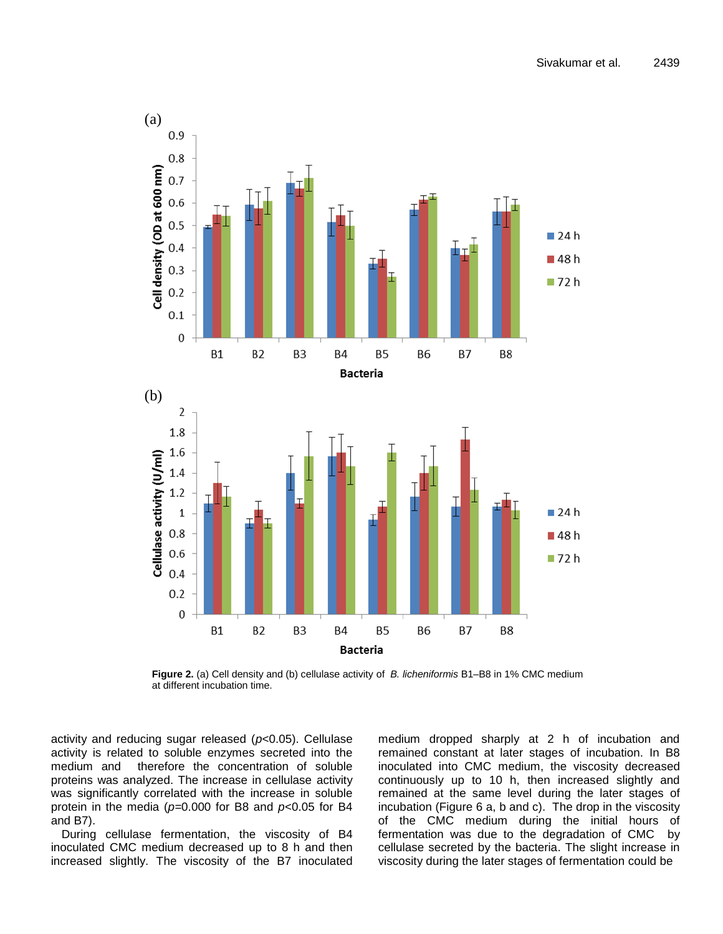

**Figure 2.** (a) Cell density and (b) cellulase activity of *B. licheniformis* B1–B8 in 1% CMC medium at different incubation time.

activity and reducing sugar released (*p*<0.05). Cellulase activity is related to soluble enzymes secreted into the medium and therefore the concentration of soluble proteins was analyzed. The increase in cellulase activity was significantly correlated with the increase in soluble protein in the media (*p=*0.000 for B8 and *p*<0.05 for B4 and B7).

During cellulase fermentation, the viscosity of B4 inoculated CMC medium decreased up to 8 h and then increased slightly. The viscosity of the B7 inoculated

medium dropped sharply at 2 h of incubation and remained constant at later stages of incubation. In B8 inoculated into CMC medium, the viscosity decreased continuously up to 10 h, then increased slightly and remained at the same level during the later stages of incubation (Figure 6 a, b and c). The drop in the viscosity of the CMC medium during the initial hours of fermentation was due to the degradation of CMC by cellulase secreted by the bacteria. The slight increase in viscosity during the later stages of fermentation could be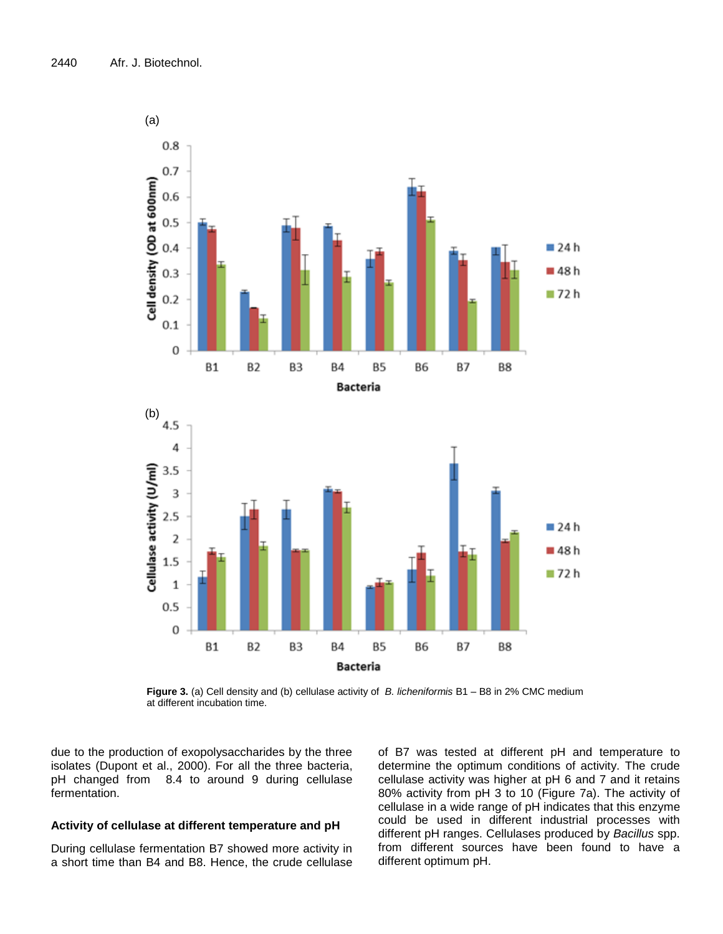

**Figure 3.** (a) Cell density and (b) cellulase activity of *B. licheniformis* B1 – B8 in 2% CMC medium at different incubation time.

due to the production of exopolysaccharides by the three isolates (Dupont et al., 2000). For all the three bacteria, pH changed from 8.4 to around 9 during cellulase fermentation.

# **Activity of cellulase at different temperature and pH**

During cellulase fermentation B7 showed more activity in a short time than B4 and B8. Hence, the crude cellulase of B7 was tested at different pH and temperature to determine the optimum conditions of activity. The crude cellulase activity was higher at pH 6 and 7 and it retains 80% activity from pH 3 to 10 (Figure 7a). The activity of cellulase in a wide range of pH indicates that this enzyme could be used in different industrial processes with different pH ranges. Cellulases produced by *Bacillus* spp. from different sources have been found to have a different optimum pH.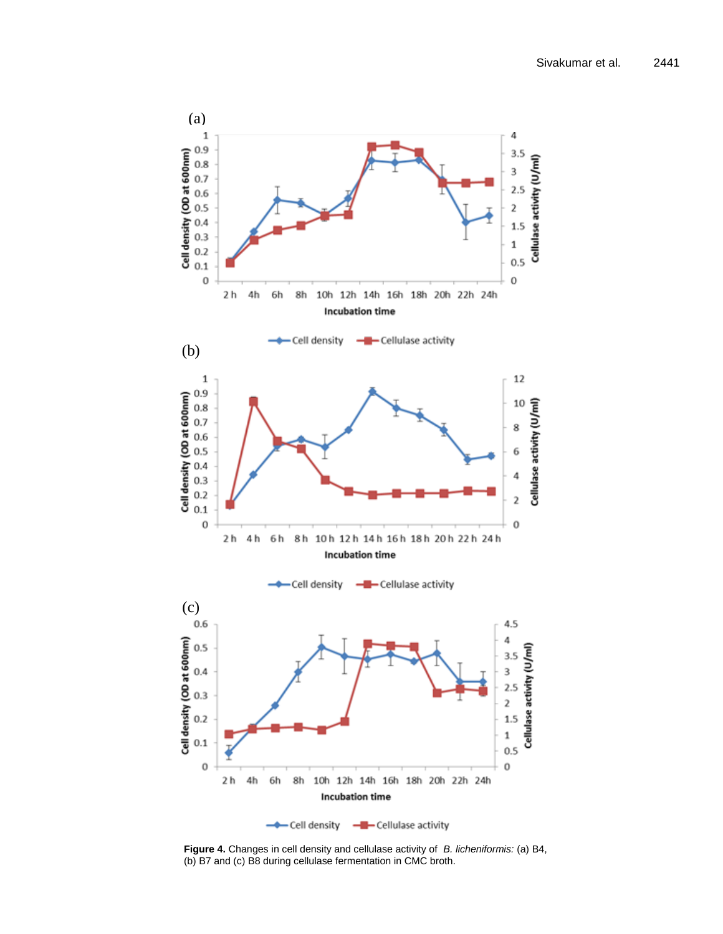

**Figure 4.** Changes in cell density and cellulase activity of *B. licheniformis:* (a) B4, (b) B7 and (c) B8 during cellulase fermentation in CMC broth.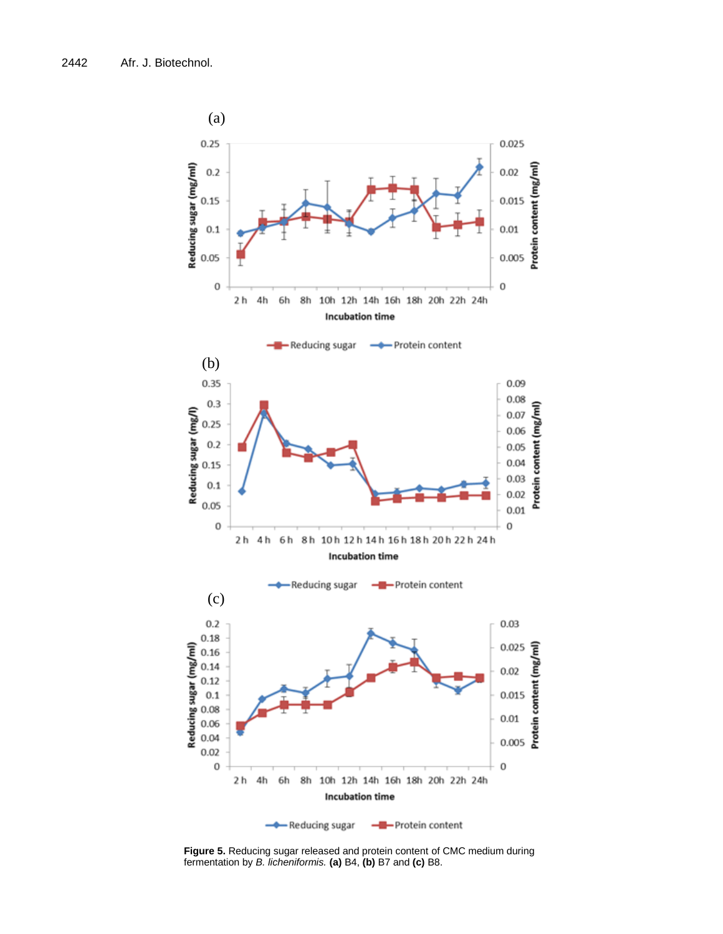

**Figure 5.** Reducing sugar released and protein content of CMC medium during fermentation by *B. licheniformis.* **(a)** B4, **(b)** B7 and **(c)** B8.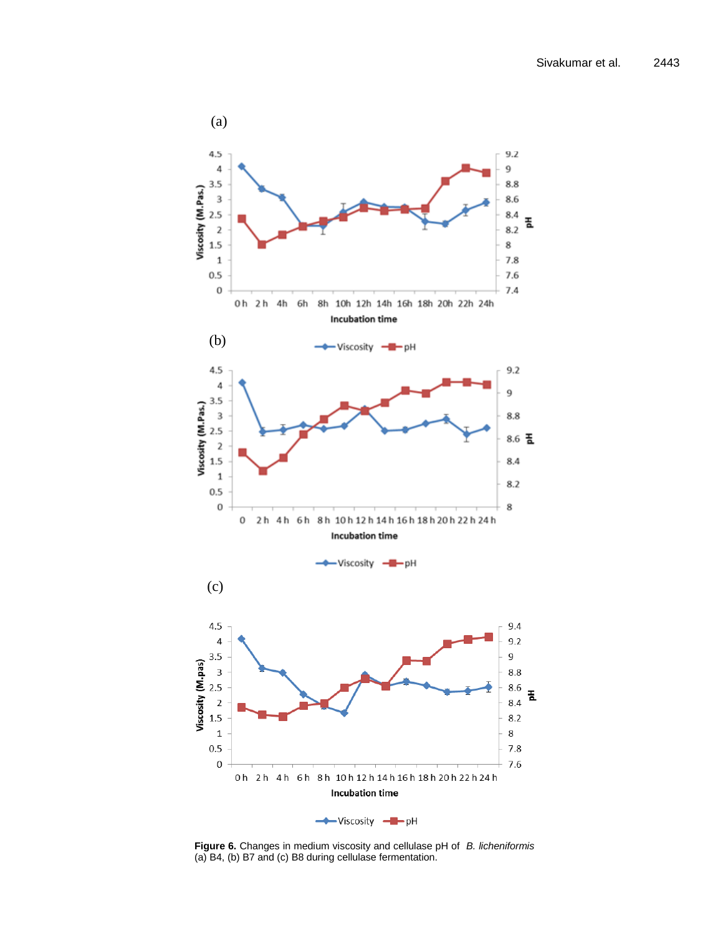

**Figure 6.** Changes in medium viscosity and cellulase pH of *B. licheniformis*  (a) B4, (b) B7 and (c) B8 during cellulase fermentation.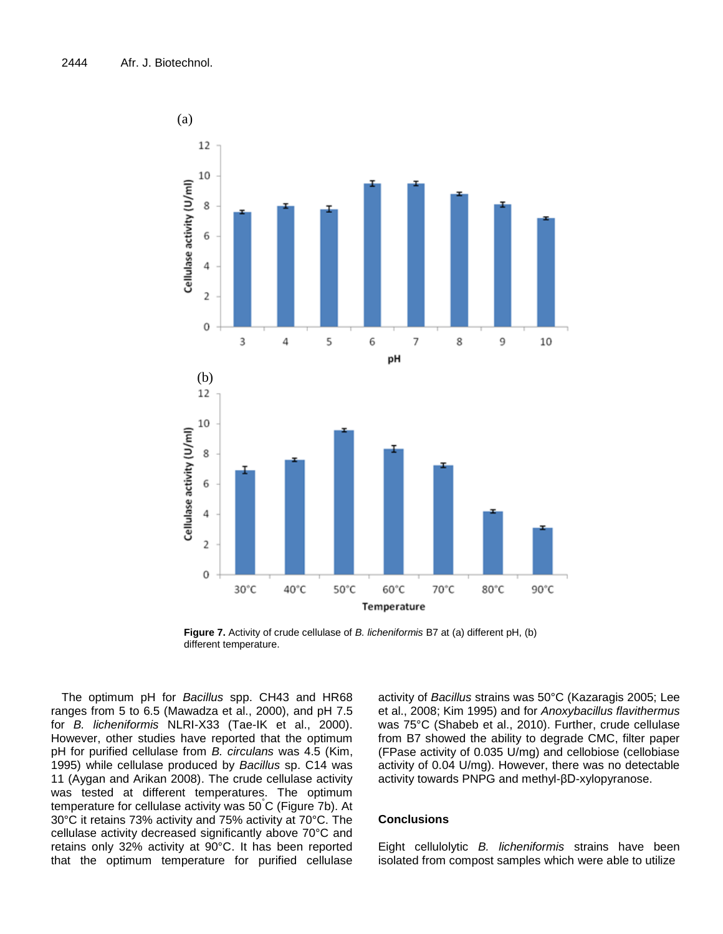

**Figure 7.** Activity of crude cellulase of *B. licheniformis* B7 at (a) different pH, (b) different temperature.

The optimum pH for *Bacillus* spp. CH43 and HR68 ranges from 5 to 6.5 (Mawadza et al., 2000), and pH 7.5 for *B. licheniformis* NLRI-X33 (Tae-IK et al., 2000). However, other studies have reported that the optimum pH for purified cellulase from *B. circulans* was 4.5 (Kim, 1995) while cellulase produced by *Bacillus* sp. C14 was 11 (Aygan and Arikan 2008). The crude cellulase activity was tested at different temperatures. The optimum temperature for cellulase activity was 50°C (Figure 7b). At 30°C it retains 73% activity and 75% activity at 70°C. The cellulase activity decreased significantly above 70°C and retains only 32% activity at 90°C. It has been reported that the optimum temperature for purified cellulase

activity of *Bacillus* strains was 50°C (Kazaragis 2005; Lee et al., 2008; Kim 1995) and for *Anoxybacillus flavithermus* was 75°C (Shabeb et al., 2010). Further, crude cellulase from B7 showed the ability to degrade CMC, filter paper (FPase activity of 0.035 U/mg) and cellobiose (cellobiase activity of 0.04 U/mg). However, there was no detectable activity towards PNPG and methyl-βD-xylopyranose.

# **Conclusions**

Eight cellulolytic *B. licheniformis* strains have been isolated from compost samples which were able to utilize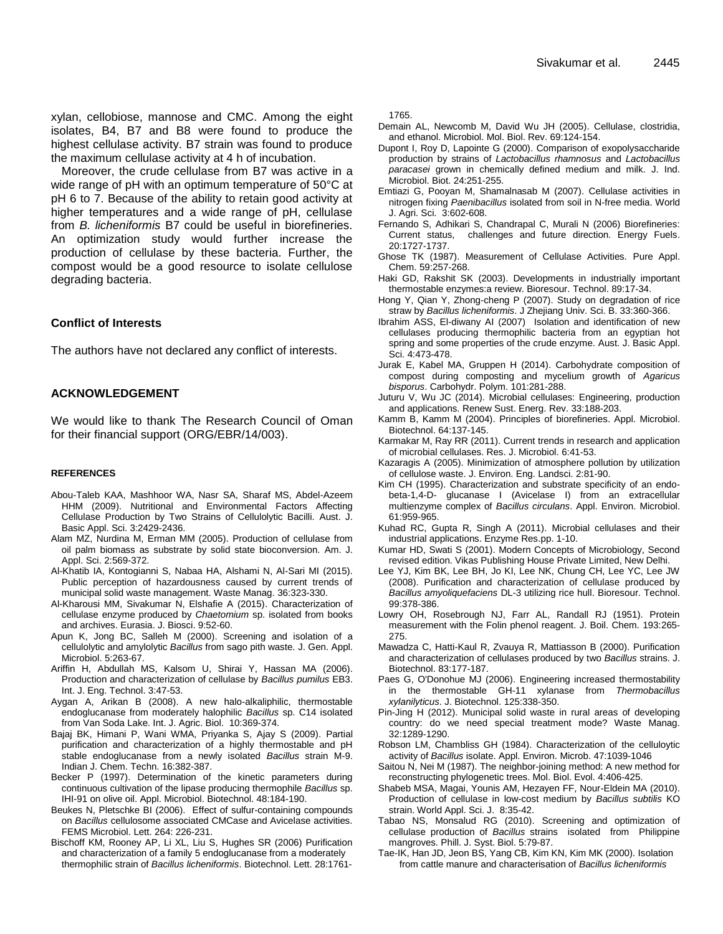xylan, cellobiose, mannose and CMC. Among the eight isolates, B4, B7 and B8 were found to produce the highest cellulase activity. B7 strain was found to produce the maximum cellulase activity at 4 h of incubation.

Moreover, the crude cellulase from B7 was active in a wide range of pH with an optimum temperature of 50°C at pH 6 to 7. Because of the ability to retain good activity at higher temperatures and a wide range of pH, cellulase from *B. licheniformis* B7 could be useful in biorefineries. An optimization study would further increase the production of cellulase by these bacteria. Further, the compost would be a good resource to isolate cellulose degrading bacteria.

### **Conflict of Interests**

The authors have not declared any conflict of interests.

## **ACKNOWLEDGEMENT**

We would like to thank The Research Council of Oman for their financial support (ORG/EBR/14/003).

#### **REFERENCES**

- Abou-Taleb KAA, Mashhoor WA, Nasr SA, Sharaf MS, Abdel-Azeem HHM (2009). Nutritional and Environmental Factors Affecting Cellulase Production by Two Strains of Cellulolytic Bacilli. Aust. J. Basic Appl. Sci. 3:2429-2436.
- Alam MZ, Nurdina M, Erman MM (2005). Production of cellulase from oil palm biomass as substrate by solid state bioconversion. Am. J. Appl. Sci. 2:569-372.
- Al-Khatib IA, Kontogianni S, Nabaa HA, Alshami N, Al-Sari MI (2015). Public perception of hazardousness caused by current trends of municipal solid waste management. Waste Manag. 36:323-330.
- Al-Kharousi MM, Sivakumar N, Elshafie A (2015). Characterization of cellulase enzyme produced by *Chaetomium* sp. isolated from books and archives. Eurasia. J. Biosci. 9:52-60.
- Apun K, Jong BC, Salleh M (2000). Screening and isolation of a cellulolytic and amylolytic *Bacillus* from sago pith waste. J. Gen. Appl. Microbiol. 5:263-67.
- Ariffin H, Abdullah MS, Kalsom U, Shirai Y, Hassan MA (2006). Production and characterization of cellulase by *Bacillus pumilus* EB3. Int. J. Eng. Technol. 3:47-53.
- Aygan A, Arikan B (2008). A new halo-alkaliphilic, thermostable endoglucanase from moderately halophilic *Bacillus* sp. C14 isolated from Van Soda Lake. Int. J. Agric. Biol. 10:369-374.
- Bajaj BK, Himani P, Wani WMA, Priyanka S, Ajay S (2009). Partial purification and characterization of a highly thermostable and pH stable endoglucanase from a newly isolated *Bacillus* strain M-9. Indian J. Chem. Techn. 16:382-387.
- Becker P (1997). Determination of the kinetic parameters during continuous cultivation of the lipase producing thermophile *Bacillus* sp. IHI-91 on olive oil. Appl. Microbiol. Biotechnol. 48:184-190.
- Beukes N, Pletschke BI (2006). Effect of sulfur-containing compounds on *Bacillus* cellulosome associated CMCase and Avicelase activities. FEMS Microbiol. Lett. 264: 226-231.
- Bischoff KM, Rooney AP, Li XL, Liu S, Hughes SR (2006) Purification and characterization of a family 5 endoglucanase from a moderately thermophilic strain of *Bacillus licheniformis*. Biotechnol. Lett. 28:1761-

1765.

- Demain AL, Newcomb M, David Wu JH (2005). Cellulase, clostridia, and ethanol. Microbiol. Mol. Biol. Rev. 69:124-154.
- Dupont I, Roy D, Lapointe G (2000). Comparison of exopolysaccharide production by strains of *Lactobacillus rhamnosus* and *Lactobacillus paracasei* grown in chemically defined medium and milk. J. Ind. Microbiol. Biot. 24:251-255.
- Emtiazi G, Pooyan M, Shamalnasab M (2007). Cellulase activities in nitrogen fixing *Paenibacillus* isolated from soil in N-free media. World J. Agri. Sci. 3:602-608.
- Fernando S, Adhikari S, Chandrapal C, Murali N (2006) Biorefineries: Current status, challenges and future direction. Energy Fuels. 20:1727-1737.
- Ghose TK (1987). Measurement of Cellulase Activities. Pure Appl. Chem. 59:257-268.
- Haki GD, Rakshit SK (2003). Developments in industrially important thermostable enzymes:a review. Bioresour. Technol. 89:17-34.
- Hong Y, Qian Y, Zhong-cheng P (2007). Study on degradation of rice straw by *Bacillus licheniformis*. J Zhejiang Univ. Sci. B. 33:360-366.
- Ibrahim ASS, El-diwany AI (2007) Isolation and identification of new cellulases producing thermophilic bacteria from an egyptian hot spring and some properties of the crude enzyme. Aust. J. Basic Appl. Sci. 4:473-478.
- Jurak E, Kabel MA, Gruppen H (2014). Carbohydrate composition of compost during composting and mycelium growth of *Agaricus bisporus*. Carbohydr. Polym. 101:281-288.
- Juturu V, Wu JC (2014). Microbial cellulases: Engineering, production and applications. Renew Sust. Energ. Rev. 33:188-203.
- Kamm B, Kamm M (2004). Principles of biorefineries. Appl. Microbiol. Biotechnol. 64:137-145.
- Karmakar M, Ray RR (2011). Current trends in research and application of microbial cellulases. Res. J. Microbiol. 6:41-53.
- Kazaragis A (2005). Minimization of atmosphere pollution by utilization of cellulose waste. J. Environ. Eng. Landsci. 2:81-90.
- Kim CH (1995). Characterization and substrate specificity of an endobeta-1,4-D- glucanase I (Avicelase I) from an extracellular multienzyme complex of *Bacillus circulans*. Appl. Environ. Microbiol. 61:959-965.
- Kuhad RC, Gupta R, Singh A (2011). Microbial cellulases and their industrial applications. Enzyme Res.pp. 1-10.
- Kumar HD, Swati S (2001). Modern Concepts of Microbiology, Second revised edition. Vikas Publishing House Private Limited, New Delhi.
- Lee YJ, Kim BK, Lee BH, Jo KI, Lee NK, Chung CH, Lee YC, Lee JW (2008). Purification and characterization of cellulase produced by *Bacillus amyoliquefaciens* DL-3 utilizing rice hull. Bioresour. Technol. 99:378-386.
- Lowry OH, Rosebrough NJ, Farr AL, Randall RJ (1951). Protein measurement with the Folin phenol reagent. J. Boil. Chem. 193:265- 275.
- Mawadza C, Hatti-Kaul R, Zvauya R, Mattiasson B (2000). Purification and characterization of cellulases produced by two *Bacillus* strains. J. Biotechnol. 83:177-187.
- Paes G, O'Donohue MJ (2006). Engineering increased thermostability in the thermostable GH-11 xylanase from *Thermobacillus xylanilyticus*. J. Biotechnol. 125:338-350.
- Pin-Jing H (2012). Municipal solid waste in rural areas of developing country: do we need special treatment mode? Waste Manag. 32:1289-1290.
- Robson LM, Chambliss GH (1984). Characterization of the celluloytic activity of *Bacillus* isolate. Appl. Environ. Microb. 47:1039-1046
- Saitou N, Nei M (1987). The neighbor-joining method: A new method for reconstructing phylogenetic trees. Mol. Biol. Evol. 4:406-425.
- Shabeb MSA, Magai, Younis AM, Hezayen FF, Nour-Eldein MA (2010). Production of cellulase in low-cost medium by *Bacillus subtilis* KO strain. World Appl. Sci. J. 8:35-42.
- Tabao NS, Monsalud RG (2010). Screening and optimization of cellulase production of *Bacillus* strains isolated from Philippine mangroves. Phill. J. Syst. Biol. 5:79-87.
- Tae-IK, Han JD, Jeon BS, Yang CB, Kim KN, Kim MK (2000). Isolation from cattle manure and characterisation of *Bacillus licheniformis*